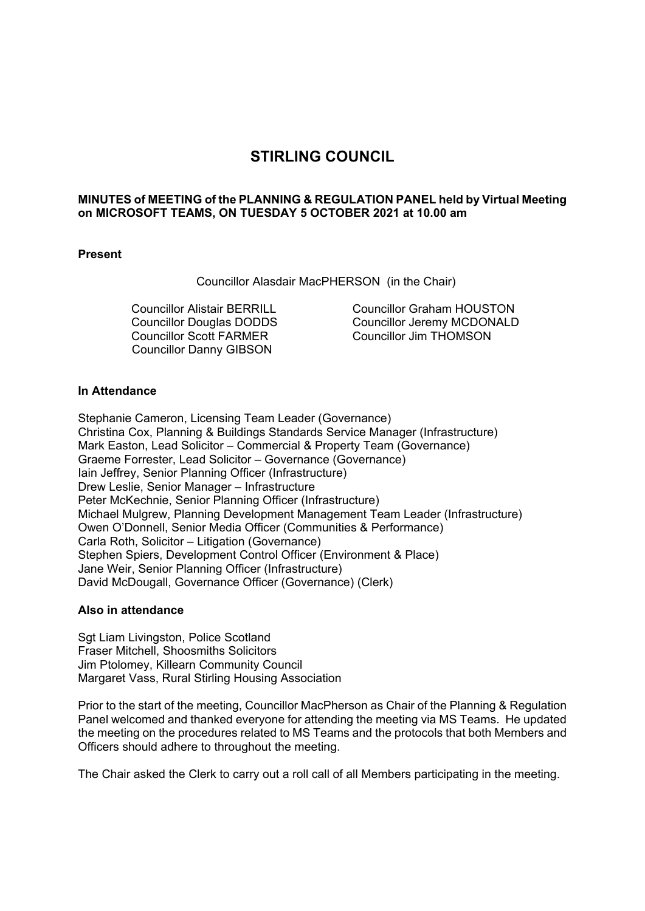# **STIRLING COUNCIL**

## **MINUTES of MEETING of the PLANNING & REGULATION PANEL held by Virtual Meeting on MICROSOFT TEAMS, ON TUESDAY 5 OCTOBER 2021 at 10.00 am**

## **Present**

Councillor Alasdair MacPHERSON (in the Chair)

Councillor Alistair BERRILL Councillor Douglas DODDS Councillor Scott FARMER Councillor Danny GIBSON

Councillor Graham HOUSTON Councillor Jeremy MCDONALD Councillor Jim THOMSON

## **In Attendance**

Stephanie Cameron, Licensing Team Leader (Governance) Christina Cox, Planning & Buildings Standards Service Manager (Infrastructure) Mark Easton, Lead Solicitor – Commercial & Property Team (Governance) Graeme Forrester, Lead Solicitor – Governance (Governance) Iain Jeffrey, Senior Planning Officer (Infrastructure) Drew Leslie, Senior Manager – Infrastructure Peter McKechnie, Senior Planning Officer (Infrastructure) Michael Mulgrew, Planning Development Management Team Leader (Infrastructure) Owen O'Donnell, Senior Media Officer (Communities & Performance) Carla Roth, Solicitor – Litigation (Governance) Stephen Spiers, Development Control Officer (Environment & Place) Jane Weir, Senior Planning Officer (Infrastructure) David McDougall, Governance Officer (Governance) (Clerk)

#### **Also in attendance**

Sgt Liam Livingston, Police Scotland Fraser Mitchell, Shoosmiths Solicitors Jim Ptolomey, Killearn Community Council Margaret Vass, Rural Stirling Housing Association

Prior to the start of the meeting, Councillor MacPherson as Chair of the Planning & Regulation Panel welcomed and thanked everyone for attending the meeting via MS Teams. He updated the meeting on the procedures related to MS Teams and the protocols that both Members and Officers should adhere to throughout the meeting.

The Chair asked the Clerk to carry out a roll call of all Members participating in the meeting.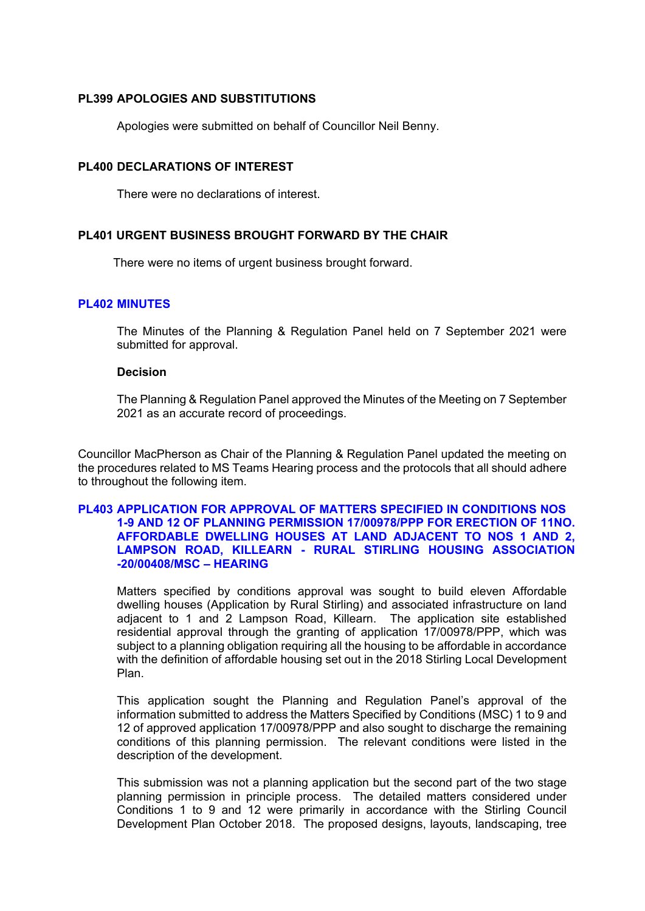## **PL399 APOLOGIES AND SUBSTITUTIONS**

Apologies were submitted on behalf of Councillor Neil Benny.

## **PL400 DECLARATIONS OF INTEREST**

There were no declarations of interest.

## **PL401 URGENT BUSINESS BROUGHT FORWARD BY THE CHAIR**

There were no items of urgent business brought forward.

## **PL402 MINUTES**

The Minutes of the Planning & Regulation Panel held on 7 September 2021 were submitted for approval.

#### **Decision**

The Planning & Regulation Panel approved the Minutes of the Meeting on 7 September 2021 as an accurate record of proceedings.

Councillor MacPherson as Chair of the Planning & Regulation Panel updated the meeting on the procedures related to MS Teams Hearing process and the protocols that all should adhere to throughout the following item.

## **PL403 APPLICATION FOR APPROVAL OF MATTERS SPECIFIED IN CONDITIONS NOS 1-9 AND 12 OF PLANNING PERMISSION 17/00978/PPP FOR ERECTION OF 11NO. AFFORDABLE DWELLING HOUSES AT LAND ADJACENT TO NOS 1 AND 2, LAMPSON ROAD, KILLEARN - RURAL STIRLING HOUSING ASSOCIATION -20/00408/MSC – HEARING**

Matters specified by conditions approval was sought to build eleven Affordable dwelling houses (Application by Rural Stirling) and associated infrastructure on land adjacent to 1 and 2 Lampson Road, Killearn. The application site established residential approval through the granting of application 17/00978/PPP, which was subject to a planning obligation requiring all the housing to be affordable in accordance with the definition of affordable housing set out in the 2018 Stirling Local Development Plan.

This application sought the Planning and Regulation Panel's approval of the information submitted to address the Matters Specified by Conditions (MSC) 1 to 9 and 12 of approved application 17/00978/PPP and also sought to discharge the remaining conditions of this planning permission. The relevant conditions were listed in the description of the development.

This submission was not a planning application but the second part of the two stage planning permission in principle process. The detailed matters considered under Conditions 1 to 9 and 12 were primarily in accordance with the Stirling Council Development Plan October 2018. The proposed designs, layouts, landscaping, tree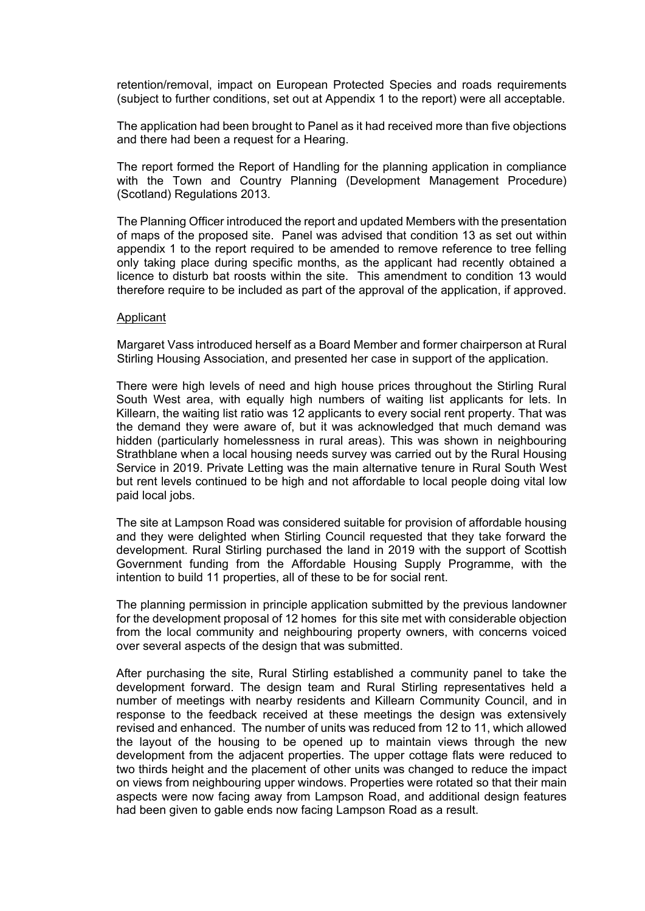retention/removal, impact on European Protected Species and roads requirements (subject to further conditions, set out at Appendix 1 to the report) were all acceptable.

The application had been brought to Panel as it had received more than five objections and there had been a request for a Hearing.

The report formed the Report of Handling for the planning application in compliance with the Town and Country Planning (Development Management Procedure) (Scotland) Regulations 2013.

The Planning Officer introduced the report and updated Members with the presentation of maps of the proposed site. Panel was advised that condition 13 as set out within appendix 1 to the report required to be amended to remove reference to tree felling only taking place during specific months, as the applicant had recently obtained a licence to disturb bat roosts within the site. This amendment to condition 13 would therefore require to be included as part of the approval of the application, if approved.

#### Applicant

Margaret Vass introduced herself as a Board Member and former chairperson at Rural Stirling Housing Association, and presented her case in support of the application.

There were high levels of need and high house prices throughout the Stirling Rural South West area, with equally high numbers of waiting list applicants for lets. In Killearn, the waiting list ratio was 12 applicants to every social rent property. That was the demand they were aware of, but it was acknowledged that much demand was hidden (particularly homelessness in rural areas). This was shown in neighbouring Strathblane when a local housing needs survey was carried out by the Rural Housing Service in 2019. Private Letting was the main alternative tenure in Rural South West but rent levels continued to be high and not affordable to local people doing vital low paid local jobs.

The site at Lampson Road was considered suitable for provision of affordable housing and they were delighted when Stirling Council requested that they take forward the development. Rural Stirling purchased the land in 2019 with the support of Scottish Government funding from the Affordable Housing Supply Programme, with the intention to build 11 properties, all of these to be for social rent.

The planning permission in principle application submitted by the previous landowner for the development proposal of 12 homes for this site met with considerable objection from the local community and neighbouring property owners, with concerns voiced over several aspects of the design that was submitted.

After purchasing the site, Rural Stirling established a community panel to take the development forward. The design team and Rural Stirling representatives held a number of meetings with nearby residents and Killearn Community Council, and in response to the feedback received at these meetings the design was extensively revised and enhanced. The number of units was reduced from 12 to 11, which allowed the layout of the housing to be opened up to maintain views through the new development from the adjacent properties. The upper cottage flats were reduced to two thirds height and the placement of other units was changed to reduce the impact on views from neighbouring upper windows. Properties were rotated so that their main aspects were now facing away from Lampson Road, and additional design features had been given to gable ends now facing Lampson Road as a result.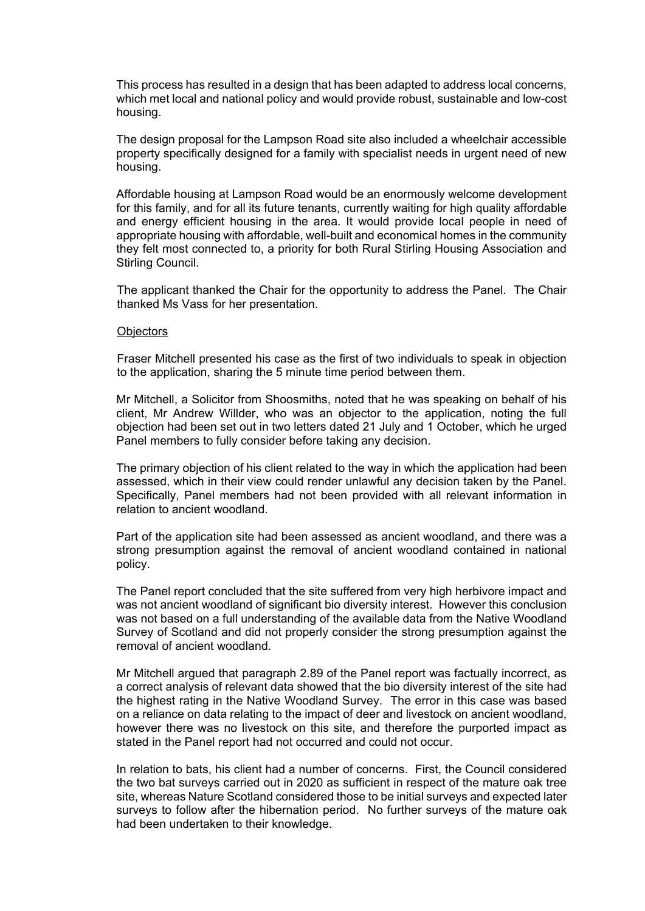This process has resulted in a design that has been adapted to address local concerns, which met local and national policy and would provide robust, sustainable and low-cost housing.

The design proposal for the Lampson Road site also included a wheelchair accessible property specifically designed for a family with specialist needs in urgent need of new housing.

Affordable housing at Lampson Road would be an enormously welcome development for this family, and for all its future tenants, currently waiting for high quality affordable and energy efficient housing in the area. It would provide local people in need of appropriate housing with affordable, well-built and economical homes in the community they felt most connected to, a priority for both Rural Stirling Housing Association and Stirling Council.

The applicant thanked the Chair for the opportunity to address the Panel. The Chair thanked Ms Vass for her presentation.

#### **Objectors**

Fraser Mitchell presented his case as the first of two individuals to speak in objection to the application, sharing the 5 minute time period between them.

Mr Mitchell, a Solicitor from Shoosmiths, noted that he was speaking on behalf of his client, Mr Andrew Willder, who was an objector to the application, noting the full objection had been set out in two letters dated 21 July and 1 October, which he urged Panel members to fully consider before taking any decision.

The primary objection of his client related to the way in which the application had been assessed, which in their view could render unlawful any decision taken by the Panel. Specifically, Panel members had not been provided with all relevant information in relation to ancient woodland.

Part of the application site had been assessed as ancient woodland, and there was a strong presumption against the removal of ancient woodland contained in national policy.

The Panel report concluded that the site suffered from very high herbivore impact and was not ancient woodland of significant bio diversity interest. However this conclusion was not based on a full understanding of the available data from the Native Woodland Survey of Scotland and did not properly consider the strong presumption against the removal of ancient woodland.

Mr Mitchell argued that paragraph 2.89 of the Panel report was factually incorrect, as a correct analysis of relevant data showed that the bio diversity interest of the site had the highest rating in the Native Woodland Survey. The error in this case was based on a reliance on data relating to the impact of deer and livestock on ancient woodland, however there was no livestock on this site, and therefore the purported impact as stated in the Panel report had not occurred and could not occur.

In relation to bats, his client had a number of concerns. First, the Council considered the two bat surveys carried out in 2020 as sufficient in respect of the mature oak tree site, whereas Nature Scotland considered those to be initial surveys and expected later surveys to follow after the hibernation period. No further surveys of the mature oak had been undertaken to their knowledge.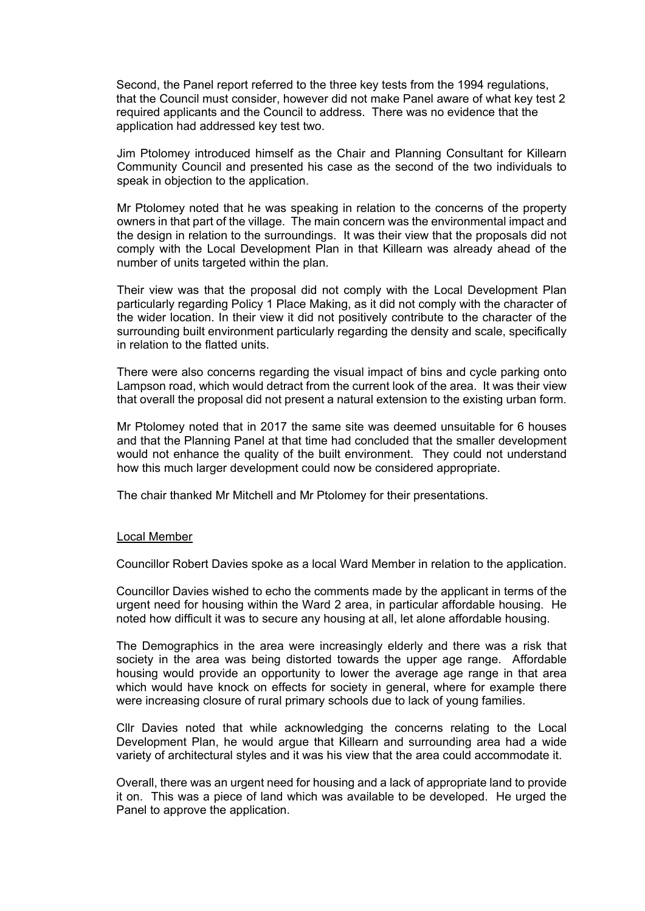Second, the Panel report referred to the three key tests from the 1994 regulations, that the Council must consider, however did not make Panel aware of what key test 2 required applicants and the Council to address. There was no evidence that the application had addressed key test two.

Jim Ptolomey introduced himself as the Chair and Planning Consultant for Killearn Community Council and presented his case as the second of the two individuals to speak in objection to the application.

Mr Ptolomey noted that he was speaking in relation to the concerns of the property owners in that part of the village. The main concern was the environmental impact and the design in relation to the surroundings. It was their view that the proposals did not comply with the Local Development Plan in that Killearn was already ahead of the number of units targeted within the plan.

Their view was that the proposal did not comply with the Local Development Plan particularly regarding Policy 1 Place Making, as it did not comply with the character of the wider location. In their view it did not positively contribute to the character of the surrounding built environment particularly regarding the density and scale, specifically in relation to the flatted units.

There were also concerns regarding the visual impact of bins and cycle parking onto Lampson road, which would detract from the current look of the area. It was their view that overall the proposal did not present a natural extension to the existing urban form.

Mr Ptolomey noted that in 2017 the same site was deemed unsuitable for 6 houses and that the Planning Panel at that time had concluded that the smaller development would not enhance the quality of the built environment. They could not understand how this much larger development could now be considered appropriate.

The chair thanked Mr Mitchell and Mr Ptolomey for their presentations.

#### Local Member

Councillor Robert Davies spoke as a local Ward Member in relation to the application.

Councillor Davies wished to echo the comments made by the applicant in terms of the urgent need for housing within the Ward 2 area, in particular affordable housing. He noted how difficult it was to secure any housing at all, let alone affordable housing.

The Demographics in the area were increasingly elderly and there was a risk that society in the area was being distorted towards the upper age range. Affordable housing would provide an opportunity to lower the average age range in that area which would have knock on effects for society in general, where for example there were increasing closure of rural primary schools due to lack of young families.

Cllr Davies noted that while acknowledging the concerns relating to the Local Development Plan, he would argue that Killearn and surrounding area had a wide variety of architectural styles and it was his view that the area could accommodate it.

Overall, there was an urgent need for housing and a lack of appropriate land to provide it on. This was a piece of land which was available to be developed. He urged the Panel to approve the application.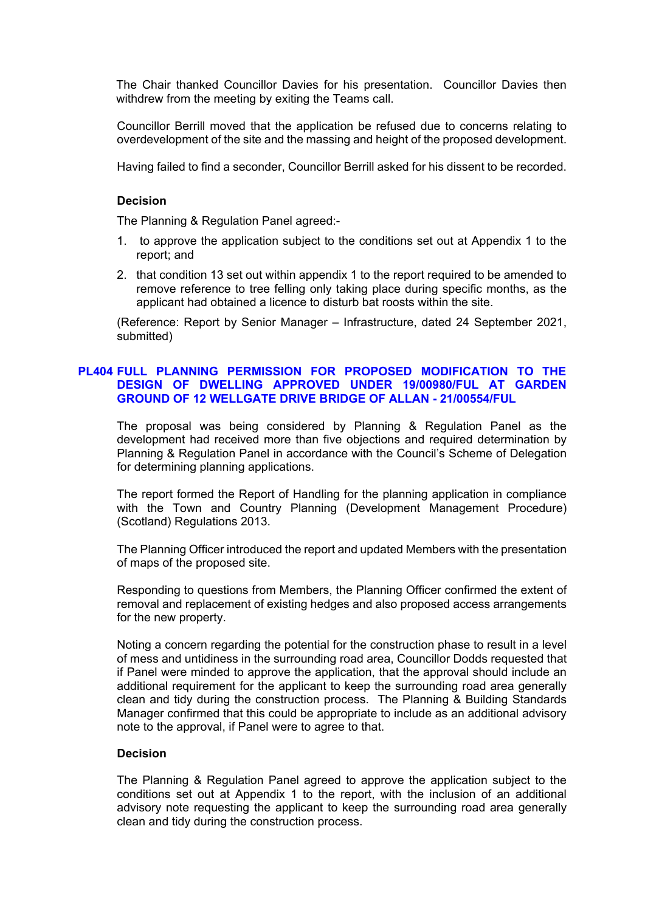The Chair thanked Councillor Davies for his presentation. Councillor Davies then withdrew from the meeting by exiting the Teams call.

Councillor Berrill moved that the application be refused due to concerns relating to overdevelopment of the site and the massing and height of the proposed development.

Having failed to find a seconder, Councillor Berrill asked for his dissent to be recorded.

#### **Decision**

The Planning & Regulation Panel agreed:-

- 1. to approve the application subject to the conditions set out at Appendix 1 to the report; and
- 2. that condition 13 set out within appendix 1 to the report required to be amended to remove reference to tree felling only taking place during specific months, as the applicant had obtained a licence to disturb bat roosts within the site.

(Reference: Report by Senior Manager – Infrastructure, dated 24 September 2021, submitted)

## **PL404 FULL PLANNING PERMISSION FOR PROPOSED MODIFICATION TO THE DESIGN OF DWELLING APPROVED UNDER 19/00980/FUL AT GARDEN GROUND OF 12 WELLGATE DRIVE BRIDGE OF ALLAN - 21/00554/FUL**

The proposal was being considered by Planning & Regulation Panel as the development had received more than five objections and required determination by Planning & Regulation Panel in accordance with the Council's Scheme of Delegation for determining planning applications.

The report formed the Report of Handling for the planning application in compliance with the Town and Country Planning (Development Management Procedure) (Scotland) Regulations 2013.

The Planning Officer introduced the report and updated Members with the presentation of maps of the proposed site.

Responding to questions from Members, the Planning Officer confirmed the extent of removal and replacement of existing hedges and also proposed access arrangements for the new property.

Noting a concern regarding the potential for the construction phase to result in a level of mess and untidiness in the surrounding road area, Councillor Dodds requested that if Panel were minded to approve the application, that the approval should include an additional requirement for the applicant to keep the surrounding road area generally clean and tidy during the construction process. The Planning & Building Standards Manager confirmed that this could be appropriate to include as an additional advisory note to the approval, if Panel were to agree to that.

#### **Decision**

The Planning & Regulation Panel agreed to approve the application subject to the conditions set out at Appendix 1 to the report, with the inclusion of an additional advisory note requesting the applicant to keep the surrounding road area generally clean and tidy during the construction process.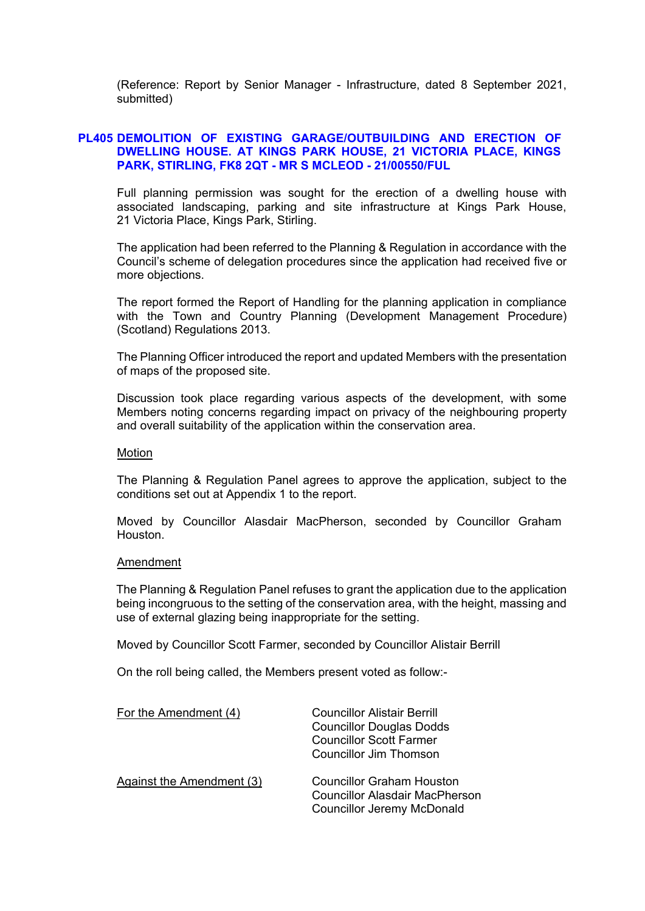(Reference: Report by Senior Manager - Infrastructure, dated 8 September 2021, submitted)

## **PL405 DEMOLITION OF EXISTING GARAGE/OUTBUILDING AND ERECTION OF DWELLING HOUSE. AT KINGS PARK HOUSE, 21 VICTORIA PLACE, KINGS PARK, STIRLING, FK8 2QT - MR S MCLEOD - 21/00550/FUL**

Full planning permission was sought for the erection of a dwelling house with associated landscaping, parking and site infrastructure at Kings Park House, 21 Victoria Place, Kings Park, Stirling.

The application had been referred to the Planning & Regulation in accordance with the Council's scheme of delegation procedures since the application had received five or more objections.

The report formed the Report of Handling for the planning application in compliance with the Town and Country Planning (Development Management Procedure) (Scotland) Regulations 2013.

The Planning Officer introduced the report and updated Members with the presentation of maps of the proposed site.

Discussion took place regarding various aspects of the development, with some Members noting concerns regarding impact on privacy of the neighbouring property and overall suitability of the application within the conservation area.

#### Motion

The Planning & Regulation Panel agrees to approve the application, subject to the conditions set out at Appendix 1 to the report.

Moved by Councillor Alasdair MacPherson, seconded by Councillor Graham Houston.

#### Amendment

The Planning & Regulation Panel refuses to grant the application due to the application being incongruous to the setting of the conservation area, with the height, massing and use of external glazing being inappropriate for the setting.

Moved by Councillor Scott Farmer, seconded by Councillor Alistair Berrill

On the roll being called, the Members present voted as follow:-

| For the Amendment (4)            | Councillor Alistair Berrill<br><b>Councillor Douglas Dodds</b><br><b>Councillor Scott Farmer</b><br>Councillor Jim Thomson |
|----------------------------------|----------------------------------------------------------------------------------------------------------------------------|
| <b>Against the Amendment (3)</b> | <b>Councillor Graham Houston</b><br><b>Councillor Alasdair MacPherson</b><br><b>Councillor Jeremy McDonald</b>             |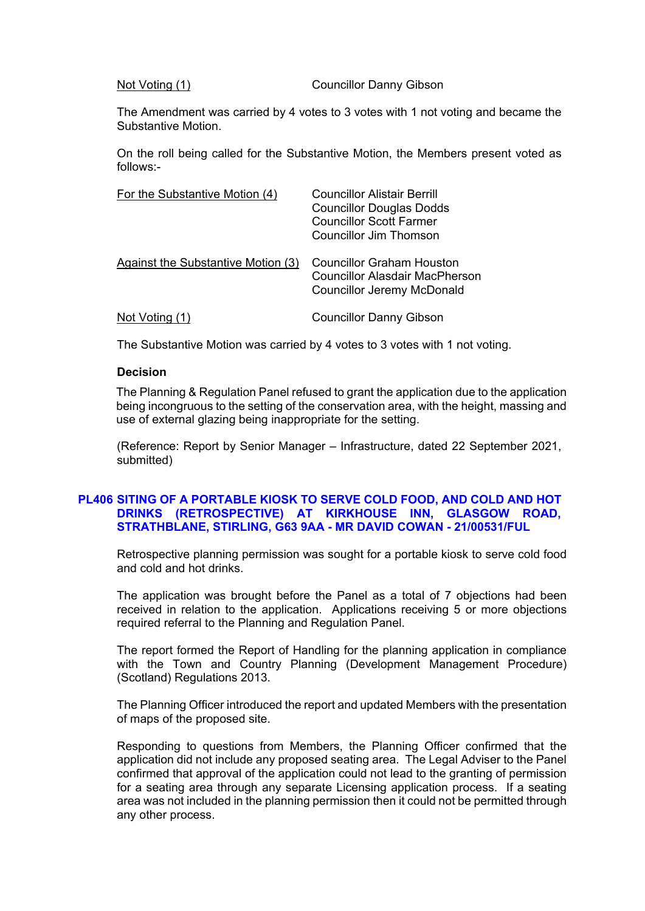Not Voting (1) Councillor Danny Gibson

The Amendment was carried by 4 votes to 3 votes with 1 not voting and became the Substantive Motion.

On the roll being called for the Substantive Motion, the Members present voted as follows:-

| For the Substantive Motion (4)     | Councillor Alistair Berrill<br><b>Councillor Douglas Dodds</b><br><b>Councillor Scott Farmer</b><br>Councillor Jim Thomson |
|------------------------------------|----------------------------------------------------------------------------------------------------------------------------|
| Against the Substantive Motion (3) | Councillor Graham Houston<br><b>Councillor Alasdair MacPherson</b><br><b>Councillor Jeremy McDonald</b>                    |
| Not Voting (1)                     | <b>Councillor Danny Gibson</b>                                                                                             |

The Substantive Motion was carried by 4 votes to 3 votes with 1 not voting.

#### **Decision**

The Planning & Regulation Panel refused to grant the application due to the application being incongruous to the setting of the conservation area, with the height, massing and use of external glazing being inappropriate for the setting.

(Reference: Report by Senior Manager – Infrastructure, dated 22 September 2021, submitted)

#### **PL406 SITING OF A PORTABLE KIOSK TO SERVE COLD FOOD, AND COLD AND HOT DRINKS (RETROSPECTIVE) AT KIRKHOUSE INN, GLASGOW ROAD, STRATHBLANE, STIRLING, G63 9AA - MR DAVID COWAN - 21/00531/FUL**

Retrospective planning permission was sought for a portable kiosk to serve cold food and cold and hot drinks.

The application was brought before the Panel as a total of 7 objections had been received in relation to the application. Applications receiving 5 or more objections required referral to the Planning and Regulation Panel.

The report formed the Report of Handling for the planning application in compliance with the Town and Country Planning (Development Management Procedure) (Scotland) Regulations 2013.

The Planning Officer introduced the report and updated Members with the presentation of maps of the proposed site.

Responding to questions from Members, the Planning Officer confirmed that the application did not include any proposed seating area. The Legal Adviser to the Panel confirmed that approval of the application could not lead to the granting of permission for a seating area through any separate Licensing application process. If a seating area was not included in the planning permission then it could not be permitted through any other process.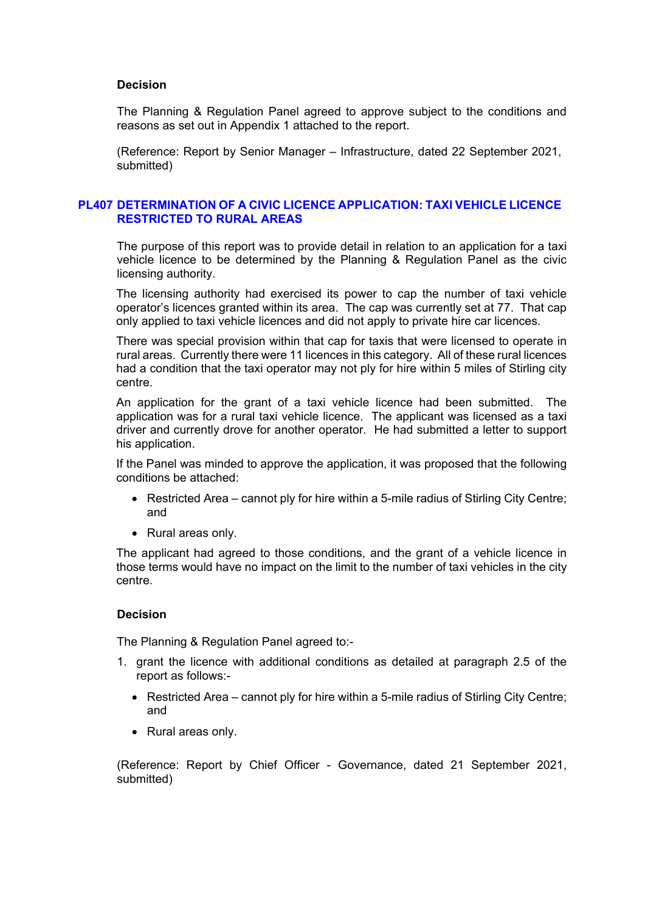#### **Decision**

The Planning & Regulation Panel agreed to approve subject to the conditions and reasons as set out in Appendix 1 attached to the report.

(Reference: Report by Senior Manager – Infrastructure, dated 22 September 2021, submitted)

#### **PL407 DETERMINATION OF A CIVIC LICENCE APPLICATION: TAXI VEHICLE LICENCE RESTRICTED TO RURAL AREAS**

The purpose of this report was to provide detail in relation to an application for a taxi vehicle licence to be determined by the Planning & Regulation Panel as the civic licensing authority.

The licensing authority had exercised its power to cap the number of taxi vehicle operator's licences granted within its area. The cap was currently set at 77. That cap only applied to taxi vehicle licences and did not apply to private hire car licences.

There was special provision within that cap for taxis that were licensed to operate in rural areas. Currently there were 11 licences in this category. All of these rural licences had a condition that the taxi operator may not ply for hire within 5 miles of Stirling city centre.

An application for the grant of a taxi vehicle licence had been submitted. The application was for a rural taxi vehicle licence. The applicant was licensed as a taxi driver and currently drove for another operator. He had submitted a letter to support his application.

If the Panel was minded to approve the application, it was proposed that the following conditions be attached:

- Restricted Area cannot ply for hire within a 5-mile radius of Stirling City Centre; and
- Rural areas only.

The applicant had agreed to those conditions, and the grant of a vehicle licence in those terms would have no impact on the limit to the number of taxi vehicles in the city centre.

## **Decision**

The Planning & Regulation Panel agreed to:-

- 1. grant the licence with additional conditions as detailed at paragraph 2.5 of the report as follows:-
	- Restricted Area cannot ply for hire within a 5-mile radius of Stirling City Centre; and
	- Rural areas only.

(Reference: Report by Chief Officer - Governance, dated 21 September 2021, submitted)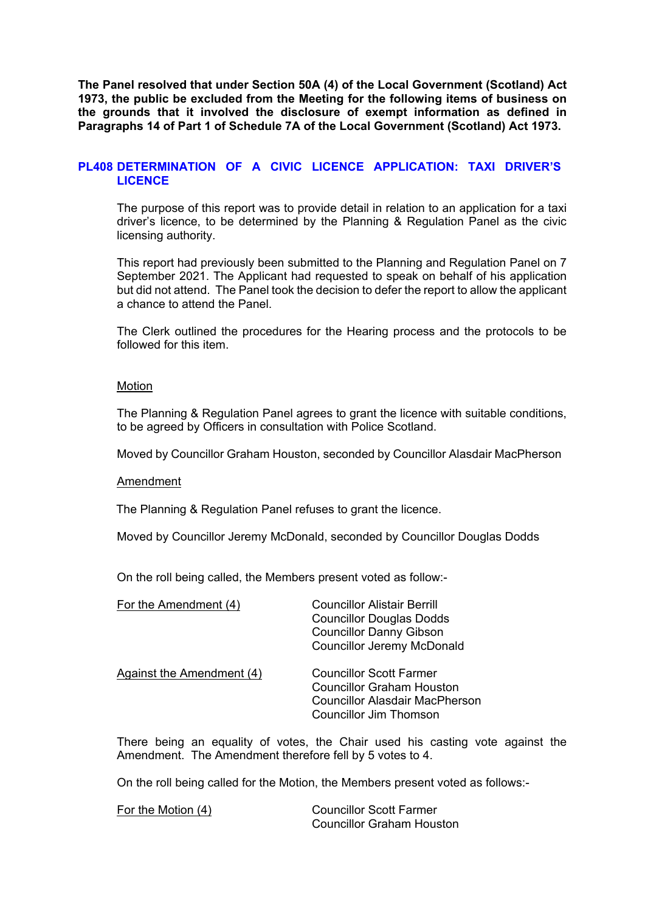**The Panel resolved that under Section 50A (4) of the Local Government (Scotland) Act 1973, the public be excluded from the Meeting for the following items of business on the grounds that it involved the disclosure of exempt information as defined in Paragraphs 14 of Part 1 of Schedule 7A of the Local Government (Scotland) Act 1973.** 

## **PL408 DETERMINATION OF [A CIVIC LICENCE APPLICATION: TAXI DRIVER'S](/forms/request.htm)  LICENCE**

The purpose of this report was to provide detail in relation to an application for a taxi driver's licence, to be determined by the Planning & Regulation Panel as the civic licensing authority.

This report had previously been submitted to the Planning and Regulation Panel on 7 September 2021. The Applicant had requested to speak on behalf of his application but did not attend. The Panel took the decision to defer the report to allow the applicant a chance to attend the Panel.

The Clerk outlined the procedures for the Hearing process and the protocols to be followed for this item.

## Motion

The Planning & Regulation Panel agrees to grant the licence with suitable conditions, to be agreed by Officers in consultation with Police Scotland.

Moved by Councillor Graham Houston, seconded by Councillor Alasdair MacPherson

Amendment

The Planning & Regulation Panel refuses to grant the licence.

Moved by Councillor Jeremy McDonald, seconded by Councillor Douglas Dodds

On the roll being called, the Members present voted as follow:-

| For the Amendment (4)     | <b>Councillor Alistair Berrill</b><br><b>Councillor Douglas Dodds</b><br><b>Councillor Danny Gibson</b><br><b>Councillor Jeremy McDonald</b> |
|---------------------------|----------------------------------------------------------------------------------------------------------------------------------------------|
| Against the Amendment (4) | <b>Councillor Scott Farmer</b><br><b>Councillor Graham Houston</b><br><b>Councillor Alasdair MacPherson</b><br>Councillor Jim Thomson        |

There being an equality of votes, the Chair used his casting vote against the Amendment. The Amendment therefore fell by 5 votes to 4.

On the roll being called for the Motion, the Members present voted as follows:-

For the Motion (4) Councillor Scott Farmer Councillor Graham Houston